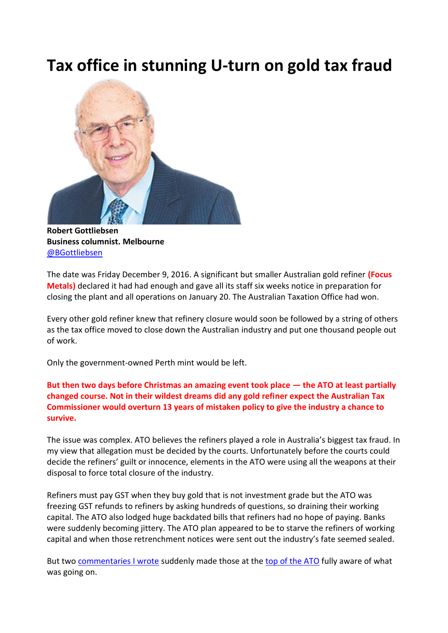## **Tax office in stunning U-turn on gold tax fraud**



**Robert Gottliebsen Business columnist. Melbourne** [@BGottliebsen](http://twitter.com/BGottliebsen)

The date was Friday December 9, 2016. A significant but smaller Australian gold refiner **(Focus Metals)** declared it had had enough and gave all its staff six weeks notice in preparation for closing the plant and all operations on January 20. The Australian Taxation Office had won.

Every other gold refiner knew that refinery closure would soon be followed by a string of others as the tax office moved to close down the Australian industry and put one thousand people out of work.

Only the government-owned Perth mint would be left.

**But then two days before Christmas an amazing event took place — the ATO at least partially changed course. Not in their wildest dreams did any gold refiner expect the Australian Tax Commissioner would overturn 13 years of mistaken policy to give the industry a chance to survive.**

The issue was complex. ATO believes the refiners played a role in Australia's biggest tax fraud. In my view that allegation must be decided by the courts. Unfortunately before the courts could decide the refiners' guilt or innocence, elements in the ATO were using all the weapons at their disposal to force total closure of the industry.

Refiners must pay GST when they buy gold that is not investment grade but the ATO was freezing GST refunds to refiners by asking hundreds of questions, so draining their working capital. The ATO also lodged huge backdated bills that refiners had no hope of paying. Banks were suddenly becoming jittery. The ATO plan appeared to be to starve the refiners of working capital and when those retrenchment notices were sent out the industry's fate seemed sealed.

But two [commentaries I wrote](http://www.theaustralian.com.au/business/opinion/robert-gottliebsen/the-bungles-that-forged-australias-biggest-tax-fraud/news-story/87fc452ccd1f9e05834a493a81eb475b) suddenly made those at th[e top of the ATO](http://www.theaustralian.com.au/business/opinion/robert-gottliebsen/the-ato-should-halt-its-attack-on-gold-refiners/news-story/57faa48675cf808fa941cedd8ba413fb) fully aware of what was going on.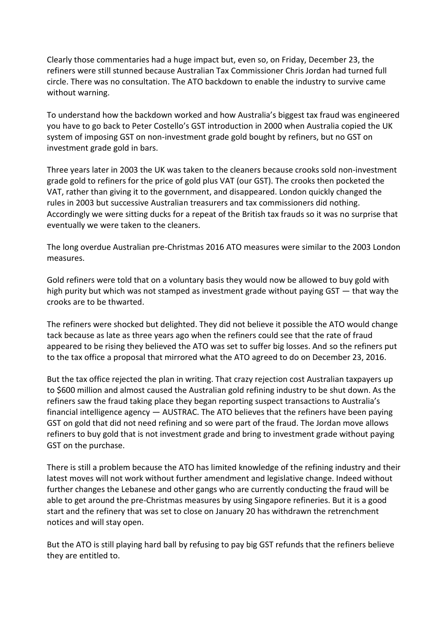Clearly those commentaries had a huge impact but, even so, on Friday, December 23, the refiners were still stunned because Australian Tax Commissioner Chris Jordan had turned full circle. There was no consultation. The ATO backdown to enable the industry to survive came without warning.

To understand how the backdown worked and how Australia's biggest tax fraud was engineered you have to go back to Peter Costello's GST introduction in 2000 when Australia copied the UK system of imposing GST on non-investment grade gold bought by refiners, but no GST on investment grade gold in bars.

Three years later in 2003 the UK was taken to the cleaners because crooks sold non-investment grade gold to refiners for the price of gold plus VAT (our GST). The crooks then pocketed the VAT, rather than giving it to the government, and disappeared. London quickly changed the rules in 2003 but successive Australian treasurers and tax commissioners did nothing. Accordingly we were sitting ducks for a repeat of the British tax frauds so it was no surprise that eventually we were taken to the cleaners.

The long overdue Australian pre-Christmas 2016 ATO measures were similar to the 2003 London measures.

Gold refiners were told that on a voluntary basis they would now be allowed to buy gold with high purity but which was not stamped as investment grade without paying GST — that way the crooks are to be thwarted.

The refiners were shocked but delighted. They did not believe it possible the ATO would change tack because as late as three years ago when the refiners could see that the rate of fraud appeared to be rising they believed the ATO was set to suffer big losses. And so the refiners put to the tax office a proposal that mirrored what the ATO agreed to do on December 23, 2016.

But the tax office rejected the plan in writing. That crazy rejection cost Australian taxpayers up to \$600 million and almost caused the Australian gold refining industry to be shut down. As the refiners saw the fraud taking place they began reporting suspect transactions to Australia's financial intelligence agency — AUSTRAC. The ATO believes that the refiners have been paying GST on gold that did not need refining and so were part of the fraud. The Jordan move allows refiners to buy gold that is not investment grade and bring to investment grade without paying GST on the purchase.

There is still a problem because the ATO has limited knowledge of the refining industry and their latest moves will not work without further amendment and legislative change. Indeed without further changes the Lebanese and other gangs who are currently conducting the fraud will be able to get around the pre-Christmas measures by using Singapore refineries. But it is a good start and the refinery that was set to close on January 20 has withdrawn the retrenchment notices and will stay open.

But the ATO is still playing hard ball by refusing to pay big GST refunds that the refiners believe they are entitled to.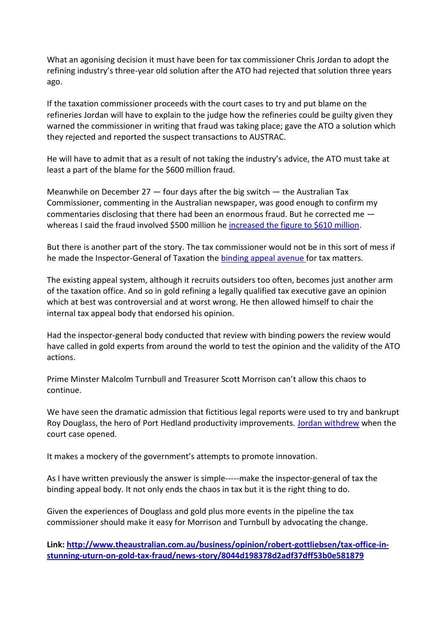What an agonising decision it must have been for tax commissioner Chris Jordan to adopt the refining industry's three-year old solution after the ATO had rejected that solution three years ago.

If the taxation commissioner proceeds with the court cases to try and put blame on the refineries Jordan will have to explain to the judge how the refineries could be guilty given they warned the commissioner in writing that fraud was taking place; gave the ATO a solution which they rejected and reported the suspect transactions to AUSTRAC.

He will have to admit that as a result of not taking the industry's advice, the ATO must take at least a part of the blame for the \$600 million fraud.

Meanwhile on December 27 — four days after the big switch — the Australian Tax Commissioner, commenting in the Australian newspaper, was good enough to confirm my commentaries disclosing that there had been an enormous fraud. But he corrected me whereas I said the fraud involved \$500 million he [increased the figure to \\$610 million.](http://www.theaustralian.com.au/national-affairs/treasury/gold-scam-a-610m-hit-to-taxpayers-as-ato-tries-to-stop-gst-fraud/news-story/fd5cfef76eac2c4b7fa384e0f25cf35e)

But there is another part of the story. The tax commissioner would not be in this sort of mess if he made the Inspector-General of Taxation the **binding appeal avenue** for tax matters.

The existing appeal system, although it recruits outsiders too often, becomes just another arm of the taxation office. And so in gold refining a legally qualified tax executive gave an opinion which at best was controversial and at worst wrong. He then allowed himself to chair the internal tax appeal body that endorsed his opinion.

Had the inspector-general body conducted that review with binding powers the review would have called in gold experts from around the world to test the opinion and the validity of the ATO actions.

Prime Minster Malcolm Turnbull and Treasurer Scott Morrison can't allow this chaos to continue.

We have seen the dramatic admission that fictitious legal reports were used to try and bankrupt Roy Douglass, the hero of Port Hedland productivity improvements. [Jordan withdrew](http://www.theaustralian.com.au/business/opinion/robert-gottliebsen/chris-jordans-last-shot-at-righting-a-wayward-ato/news-story/39035b0d176111c58b61f7083d6b68ea) when the court case opened.

It makes a mockery of the government's attempts to promote innovation.

As I have written previously the answer is simple-----make the inspector-general of tax the binding appeal body. It not only ends the chaos in tax but it is the right thing to do.

Given the experiences of Douglass and gold plus more events in the pipeline the tax commissioner should make it easy for Morrison and Turnbull by advocating the change.

**Link: [http://www.theaustralian.com.au/business/opinion/robert-gottliebsen/tax-office-in](http://www.theaustralian.com.au/business/opinion/robert-gottliebsen/tax-office-in-stunning-uturn-on-gold-tax-fraud/news-story/8044d198378d2adf37dff53b0e581879)[stunning-uturn-on-gold-tax-fraud/news-story/8044d198378d2adf37dff53b0e581879](http://www.theaustralian.com.au/business/opinion/robert-gottliebsen/tax-office-in-stunning-uturn-on-gold-tax-fraud/news-story/8044d198378d2adf37dff53b0e581879)**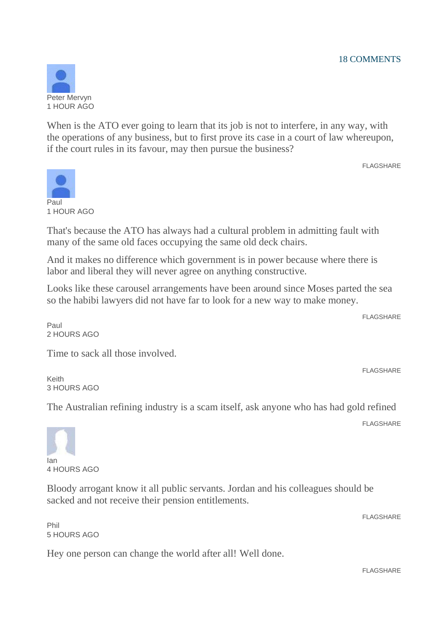

When is the ATO ever going to learn that its job is not to interfere, in any way, with the operations of any business, but to first prove its case in a court of law whereupon, if the court rules in its favour, may then pursue the business?

FLAGSHARE



That's because the ATO has always had a cultural problem in admitting fault with many of the same old faces occupying the same old deck chairs.

And it makes no difference which government is in power because where there is labor and liberal they will never agree on anything constructive.

Looks like these carousel arrangements have been around since Moses parted the sea so the habibi lawyers did not have far to look for a new way to make money.

**FLAGSHARF** 

FLAGSHARE

Paul 2 HOURS AGO

Time to sack all those involved.

Keith 3 HOURS AGO

The Australian refining industry is a scam itself, ask anyone who has had gold refined

FLAGSHARE

Ian 4 HOURS AGO

Bloody arrogant know it all public servants. Jordan and his colleagues should be sacked and not receive their pension entitlements.

Phil 5 HOURS AGO

Hey one person can change the world after all! Well done.

FLAGSHARE

**FLAGSHARF**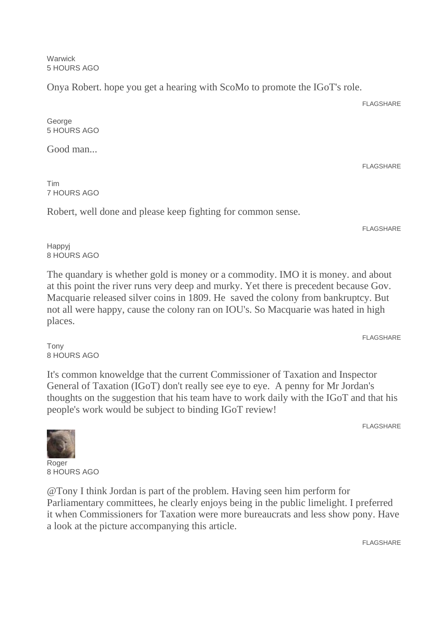**Warwick** 5 HOURS AGO

Onya Robert. hope you get a hearing with ScoMo to promote the IGoT's role.

FLAGSHARE

FLAGSHARE

George 5 HOURS AGO

Good man...

Tim 7 HOURS AGO

Robert, well done and please keep fighting for common sense.

**FLAGSHARE** 

Happyj 8 HOURS AGO

The quandary is whether gold is money or a commodity. IMO it is money. and about at this point the river runs very deep and murky. Yet there is precedent because Gov. Macquarie released silver coins in 1809. He saved the colony from bankruptcy. But not all were happy, cause the colony ran on IOU's. So Macquarie was hated in high places.

FLAGSHARE

Tony 8 HOURS AGO

It's common knoweldge that the current Commissioner of Taxation and Inspector General of Taxation (IGoT) don't really see eye to eye. A penny for Mr Jordan's thoughts on the suggestion that his team have to work daily with the IGoT and that his people's work would be subject to binding IGoT review!

FLAGSHARE

**Roger** 8 HOURS AGO

@Tony I think Jordan is part of the problem. Having seen him perform for Parliamentary committees, he clearly enjoys being in the public limelight. I preferred it when Commissioners for Taxation were more bureaucrats and less show pony. Have a look at the picture accompanying this article.

FLAGSHARE